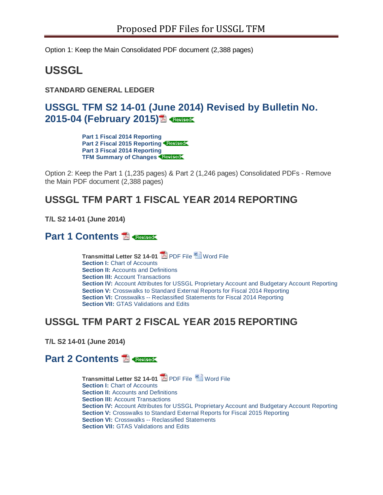Option 1: Keep the Main Consolidated PDF document (2,388 pages)

# **USSGL**

**STANDARD GENERAL LEDGER**

## **[USSGL TFM S2 14-01 \(June 2014\) Revised by Bulletin No.](http://tfm.fiscal.treasury.gov/v1/supplements/ussgl/TFM-S2-Bulletin-2015-04.pdf)  [2015-04 \(February 2015\)](http://tfm.fiscal.treasury.gov/v1/supplements/ussgl/TFM-S2-Bulletin-2015-04.pdf)**

**[Part 1 Fiscal 2014 Reporting](http://tfm.fiscal.treasury.gov/v1/supplements/ussgl/ussgl_part_1.html) [Part 2 Fiscal 2015 Reporting](http://tfm.fiscal.treasury.gov/v1/supplements/ussgl/ussgl_part_2.html) [Part 3 Fiscal 2014 Reporting](http://tfm.fiscal.treasury.gov/v1/supplements/ussgl/ussgl_part_3.html) [TFM Summary of Changes](http://tfm.fiscal.treasury.gov/v1/supplements/ussgl/summary_of_changes.html)**

Option 2: Keep the Part 1 (1,235 pages) & Part 2 (1,246 pages) Consolidated PDFs - Remove the Main PDF document (2,388 pages)

### **USSGL TFM PART 1 FISCAL YEAR 2014 REPORTING**

**T/L S2 14-01 (June 2014)**

#### **[Part 1 Contents](http://tfm.fiscal.treasury.gov/v1/supplements/ussgl/ussgl_part_1/part%201_combined_2014.pdf)**

**Transmittal Letter S2 14-01 2 [PDF File](http://tfm.fiscal.treasury.gov/v1/supplements/ussgl/transmittal-letter/Transmittal-Letter-S2-14-01.pdf) [Word File](http://tfm.fiscal.treasury.gov/content/dam/tfm/v1/supplements/ussgl/transmittal-letter/Transmittal-Letter-S2-14-01.doc) Section I: [Chart of Accounts](http://tfm.fiscal.treasury.gov/v1/supplements/ussgl/ussgl_part_1.html%23Part1) Section II:** [Accounts and Definitions](http://tfm.fiscal.treasury.gov/v1/supplements/ussgl/ussgl_part_1.html%23Part2) **Section III: [Account Transactions](http://tfm.fiscal.treasury.gov/v1/supplements/ussgl/ussgl_part_1.html%23Part3) Section IV:** [Account Attributes for USSGL Proprietary Account and Budgetary Account Reporting](http://tfm.fiscal.treasury.gov/v1/supplements/ussgl/ussgl_part_1.html%23Part4) **Section V: [Crosswalks to Standard External Reports for Fiscal 2014 Reporting](http://tfm.fiscal.treasury.gov/v1/supplements/ussgl/ussgl_part_1.html%23Part5) Section VI:** Crosswalks -- [Reclassified Statements for Fiscal 2014 Reporting](http://tfm.fiscal.treasury.gov/v1/supplements/ussgl/ussgl_part_1.html%23Part6) **Section VII: [GTAS Validations and Edits](http://tfm.fiscal.treasury.gov/v1/supplements/ussgl/ussgl_part_1.html%23Part7)** 

### **USSGL TFM PART 2 FISCAL YEAR 2015 REPORTING**

**T/L S2 14-01 (June 2014)**

#### **[Part 2 Contents](http://tfm.fiscal.treasury.gov/v1/supplements/ussgl/ussgl_part_2/part%202_combined_2015.pdf)**

**Transmittal Letter S2 14-01** [PDF File](http://tfm.fiscal.treasury.gov/v1/supplements/ussgl/transmittal-letter/Transmittal-Letter-S2-14-01.pdf) [Word File](http://tfm.fiscal.treasury.gov/content/dam/tfm/v1/supplements/ussgl/transmittal-letter/Transmittal-Letter-S2-14-01.doc) **Section I: [Chart of Accounts](http://tfm.fiscal.treasury.gov/v1/supplements/ussgl/ussgl_part_2.html%23Part1) Section II: [Accounts and Definitions](http://tfm.fiscal.treasury.gov/v1/supplements/ussgl/ussgl_part_2.html%23Part2) Section III: [Account Transactions](http://tfm.fiscal.treasury.gov/v1/supplements/ussgl/ussgl_part_2.html%23Part3) Section IV:** [Account Attributes for USSGL Proprietary Account and Budgetary Account Reporting](http://tfm.fiscal.treasury.gov/v1/supplements/ussgl/ussgl_part_2.html%23Part4) **Section V:** [Crosswalks to Standard External Reports for Fiscal 2015 Reporting](http://tfm.fiscal.treasury.gov/v1/supplements/ussgl/ussgl_part_2.html%23Part5) **Section VI: Crosswalks -- [Reclassified Statements](http://tfm.fiscal.treasury.gov/v1/supplements/ussgl/ussgl_part_2.html%23Part6) Section VII: [GTAS Validations and Edits](http://tfm.fiscal.treasury.gov/v1/supplements/ussgl/ussgl_part_2.html%23Part7)**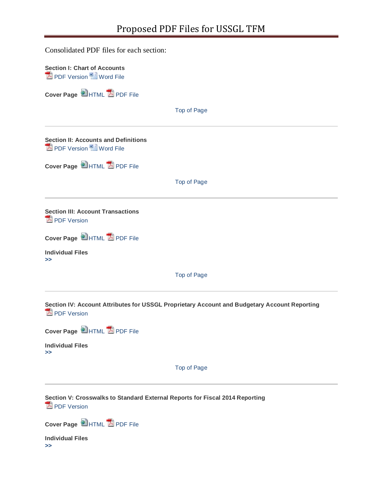| Consolidated PDF files for each section:                                                                    |                    |
|-------------------------------------------------------------------------------------------------------------|--------------------|
| <b>Section I: Chart of Accounts</b><br><b>Z</b> PDF Version <sup>2</sup> Word File                          |                    |
| Cover Page E HTML A PDF File                                                                                |                    |
|                                                                                                             | <b>Top of Page</b> |
| <b>Section II: Accounts and Definitions</b><br><b>Z</b> PDF Version <sup>2</sup> Word File                  |                    |
| Cover Page CHTML A PDF File                                                                                 |                    |
|                                                                                                             | <b>Top of Page</b> |
| <b>Section III: Account Transactions</b><br><b>E</b> PDF Version                                            |                    |
| Cover Page CHTML A PDF File                                                                                 |                    |
| <b>Individual Files</b><br>>>                                                                               |                    |
|                                                                                                             | <b>Top of Page</b> |
| Section IV: Account Attributes for USSGL Proprietary Account and Budgetary Account Reporting<br>PDF Version |                    |
| Cover Page EHTML A PDF File                                                                                 |                    |
| <b>Individual Files</b><br>>>                                                                               |                    |
|                                                                                                             | Top of Page        |
| Section V: Crosswalks to Standard External Reports for Fiscal 2014 Reporting<br>PDF Version                 |                    |
| Cover Page EHTML A PDF File                                                                                 |                    |

**Individual Files [>>](javascript:;)**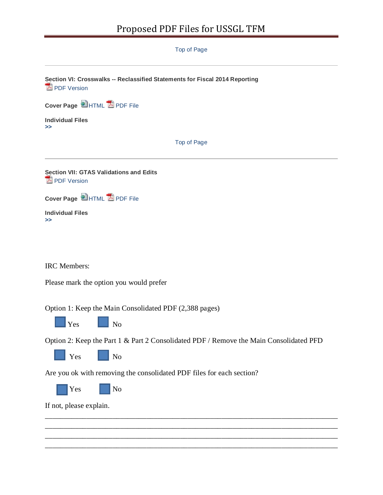# Proposed PDF Files for USSGL TFM

[Top of Page](http://tfm.fiscal.treasury.gov/v1/supplements/ussgl/ussgl_part_1.html%23skip_secondary_navigation)

**[Sec](http://tfm.fiscal.treasury.gov/v1/supplements/ussgl/ussgl_part_1/sec6/sec6_combined_2014.pdf)tion VI: Crosswalks -- Reclassified Statements for Fiscal 2014 Reporting PDF** Version

**Cover Page** [HTML](http://tfm.fiscal.treasury.gov/v1/supplements/ussgl/ussgl_part_1/sec6_cover_2014.html) [PDF File](http://tfm.fiscal.treasury.gov/v1/supplements/ussgl/ussgl_part_1/sec6/sec6_cover_2014.pdf)

**Individual Files [>>](javascript:;)**

[Top of Page](http://tfm.fiscal.treasury.gov/v1/supplements/ussgl/ussgl_part_1.html%23skip_secondary_navigation)

**[Sec](http://tfm.fiscal.treasury.gov/v1/supplements/ussgl/ussgl_part_1/sec7/sec7_combined_2014.pdf)tion VII: GTAS Validations and Edits PDF** Version

**Cover Page** [HTML](http://tfm.fiscal.treasury.gov/v1/supplements/ussgl/ussgl_part_1/sec7_cover_2014.html) **A** [PDF File](http://tfm.fiscal.treasury.gov/v1/supplements/ussgl/ussgl_part_1/sec7/sec7_cover_2014.pdf)

**Individual Files [>>](javascript:;)**

IRC Members:

Please mark the option you would prefer

Option 1: Keep the Main Consolidated PDF (2,388 pages)



Option 2: Keep the Part 1 & Part 2 Consolidated PDF / Remove the Main Consolidated PFD



Are you ok with removing the consolidated PDF files for each section?

Yes No

If not, please explain.

\_\_\_\_\_\_\_\_\_\_\_\_\_\_\_\_\_\_\_\_\_\_\_\_\_\_\_\_\_\_\_\_\_\_\_\_\_\_\_\_\_\_\_\_\_\_\_\_\_\_\_\_\_\_\_\_\_\_\_\_\_\_\_\_\_\_\_\_\_\_\_\_\_\_\_\_\_\_ \_\_\_\_\_\_\_\_\_\_\_\_\_\_\_\_\_\_\_\_\_\_\_\_\_\_\_\_\_\_\_\_\_\_\_\_\_\_\_\_\_\_\_\_\_\_\_\_\_\_\_\_\_\_\_\_\_\_\_\_\_\_\_\_\_\_\_\_\_\_\_\_\_\_\_\_\_\_ \_\_\_\_\_\_\_\_\_\_\_\_\_\_\_\_\_\_\_\_\_\_\_\_\_\_\_\_\_\_\_\_\_\_\_\_\_\_\_\_\_\_\_\_\_\_\_\_\_\_\_\_\_\_\_\_\_\_\_\_\_\_\_\_\_\_\_\_\_\_\_\_\_\_\_\_\_\_

\_\_\_\_\_\_\_\_\_\_\_\_\_\_\_\_\_\_\_\_\_\_\_\_\_\_\_\_\_\_\_\_\_\_\_\_\_\_\_\_\_\_\_\_\_\_\_\_\_\_\_\_\_\_\_\_\_\_\_\_\_\_\_\_\_\_\_\_\_\_\_\_\_\_\_\_\_\_